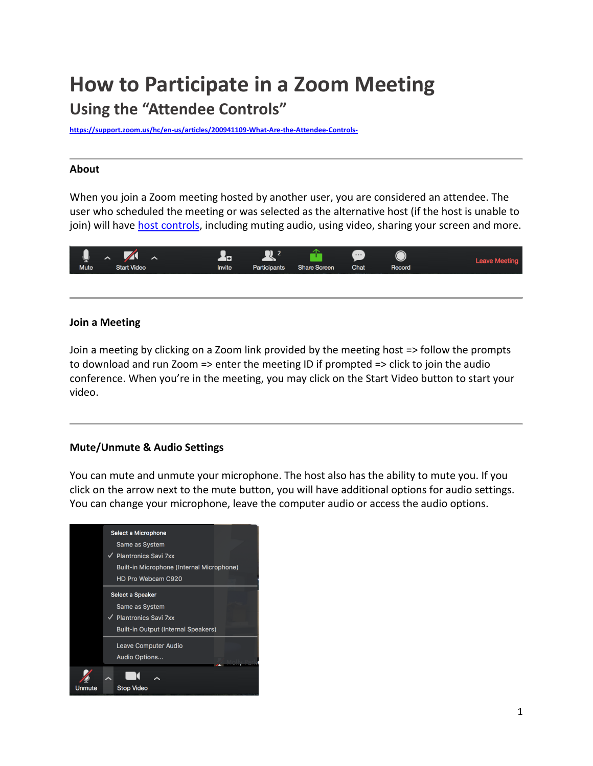# **How to Participate in a Zoom Meeting Using the "Attendee Controls"**

**<https://support.zoom.us/hc/en-us/articles/200941109-What-Are-the-Attendee-Controls->**

#### **About**

When you join a Zoom meeting hosted by another user, you are considered an attendee. The user who scheduled the meeting or was selected as the alternative host (if the host is unable to join) will have [host controls,](https://support.zoom.us/hc/en-us/articles/201362603-What-Are-the-Host-Controls-) including muting audio, using video, sharing your screen and more.



#### **Join a Meeting**

Join a meeting by clicking on a Zoom link provided by the meeting host => follow the prompts to download and run Zoom => enter the meeting ID if prompted => click to join the audio conference. When you're in the meeting, you may click on the Start Video button to start your video.

## **Mute/Unmute & Audio Settings**

You can mute and unmute your microphone. The host also has the ability to mute you. If you click on the arrow next to the mute button, you will have additional options for audio settings. You can change your microphone, leave the computer audio or access the audio options.

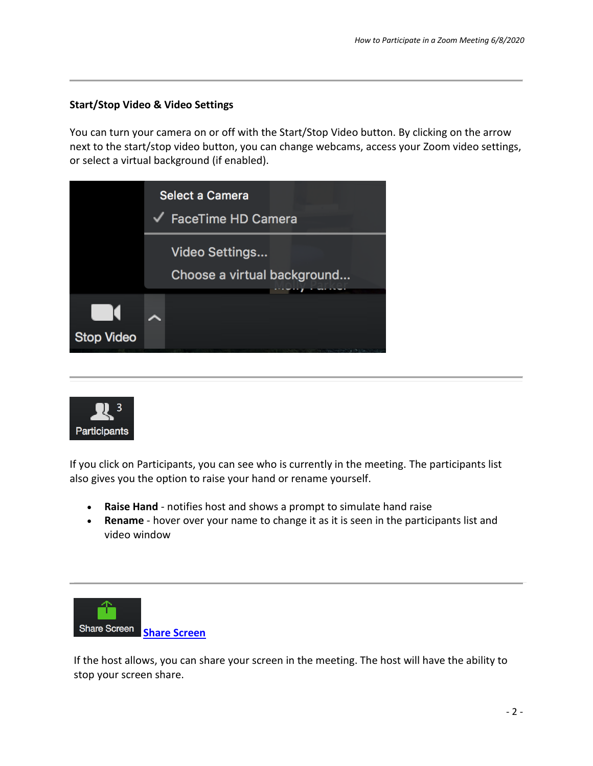# **Start/Stop Video & Video Settings**

You can turn your camera on or off with the Start/Stop Video button. By clicking on the arrow next to the start/stop video button, you can change webcams, access your Zoom video settings, or select a virtual background (if enabled).

|                   | <b>Select a Camera</b><br>$\sqrt{\phantom{a}}$ FaceTime HD Camera |
|-------------------|-------------------------------------------------------------------|
|                   | Video Settings<br>Choose a virtual background                     |
| <b>Stop Video</b> |                                                                   |



If you click on Participants, you can see who is currently in the meeting. The participants list also gives you the option to raise your hand or rename yourself.

- **Raise Hand** notifies host and shows a prompt to simulate hand raise
- **Rename** hover over your name to change it as it is seen in the participants list and video window



If the host allows, you can share your screen in the meeting. The host will have the ability to stop your screen share.